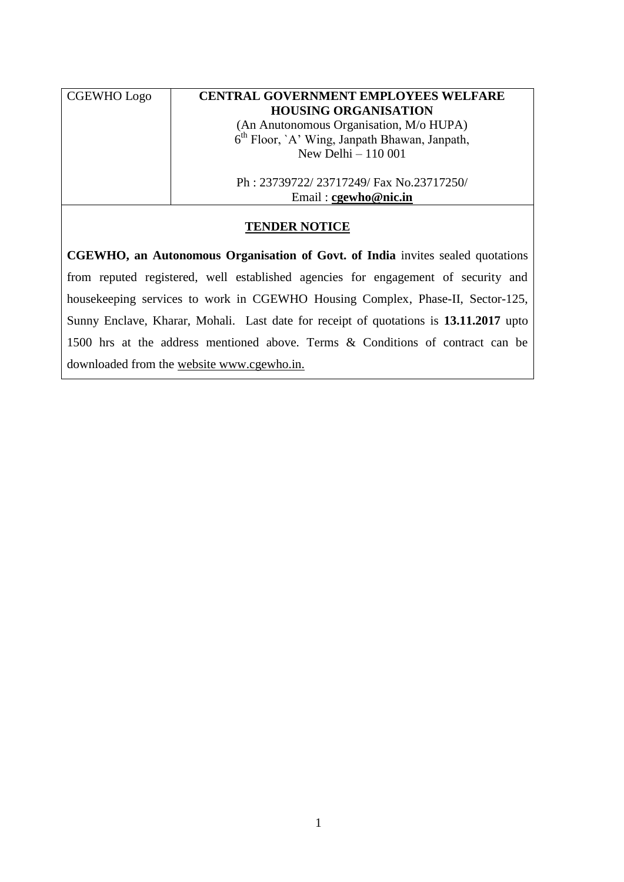| <b>CGEWHO</b> Logo |  |
|--------------------|--|
|                    |  |

### **CENTRAL GOVERNMENT EMPLOYEES WELFARE HOUSING ORGANISATION**

(An Anutonomous Organisation, M/o HUPA) 6 th Floor, `A' Wing, Janpath Bhawan, Janpath, New Delhi – 110 001

Ph : 23739722/ 23717249/ Fax No.23717250/ Email : **[cgewho@nic.in](mailto:cgewho@nic.in)**

### **TENDER NOTICE**

**CGEWHO, an Autonomous Organisation of Govt. of India** invites sealed quotations from reputed registered, well established agencies for engagement of security and housekeeping services to work in CGEWHO Housing Complex, Phase-II, Sector-125, Sunny Enclave, Kharar, Mohali. Last date for receipt of quotations is **13.11.2017** upto 1500 hrs at the address mentioned above. Terms & Conditions of contract can be downloaded from the website [www.cgewho.in.](http://www.cgewho.in/)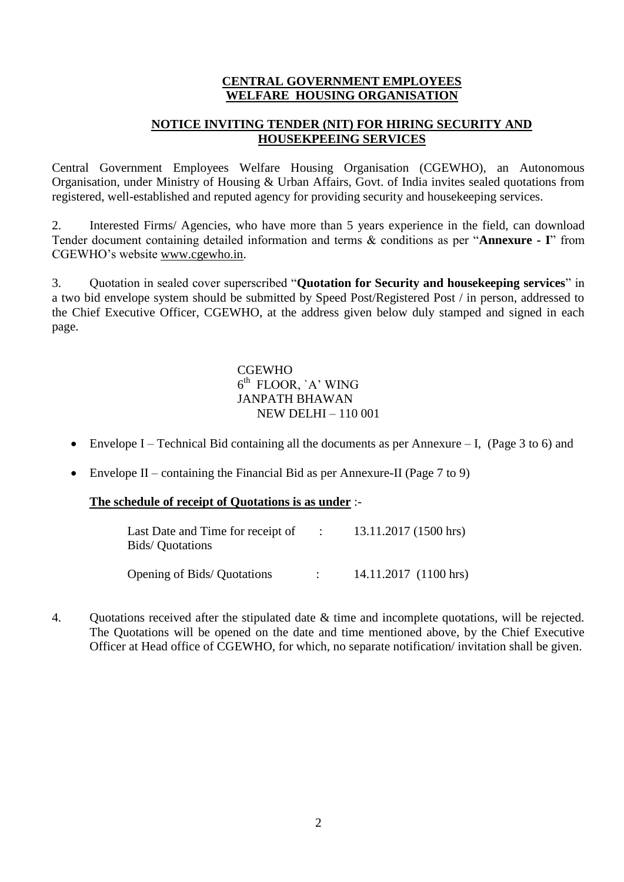### **CENTRAL GOVERNMENT EMPLOYEES WELFARE HOUSING ORGANISATION**

### **NOTICE INVITING TENDER (NIT) FOR HIRING SECURITY AND HOUSEKPEEING SERVICES**

Central Government Employees Welfare Housing Organisation (CGEWHO), an Autonomous Organisation, under Ministry of Housing & Urban Affairs, Govt. of India invites sealed quotations from registered, well-established and reputed agency for providing security and housekeeping services.

2. Interested Firms/ Agencies, who have more than 5 years experience in the field, can download Tender document containing detailed information and terms & conditions as per "**Annexure - I**" from CGEWHO's website www.cgewho.in.

3. Quotation in sealed cover superscribed "**Quotation for Security and housekeeping services**" in a two bid envelope system should be submitted by Speed Post/Registered Post / in person, addressed to the Chief Executive Officer, CGEWHO, at the address given below duly stamped and signed in each page.

 CGEWHO  $\sim$  6 <sup>th</sup> FLOOR, `A' WING JANPATH BHAWAN NEW DELHI – 110 001

- Envelope I Technical Bid containing all the documents as per Annexure I, (Page 3 to 6) and
- Envelope II containing the Financial Bid as per Annexure-II (Page 7 to 9)

#### **The schedule of receipt of Quotations is as under** :-

| Last Date and Time for receipt of<br><b>Bids/</b> Quotations | $\sim$ 100 $\sim$ | 13.11.2017 (1500 hrs)   |
|--------------------------------------------------------------|-------------------|-------------------------|
| Opening of Bids/Quotations                                   |                   | $14.11.2017$ (1100 hrs) |

4. Quotations received after the stipulated date & time and incomplete quotations, will be rejected. The Quotations will be opened on the date and time mentioned above, by the Chief Executive Officer at Head office of CGEWHO, for which, no separate notification/ invitation shall be given.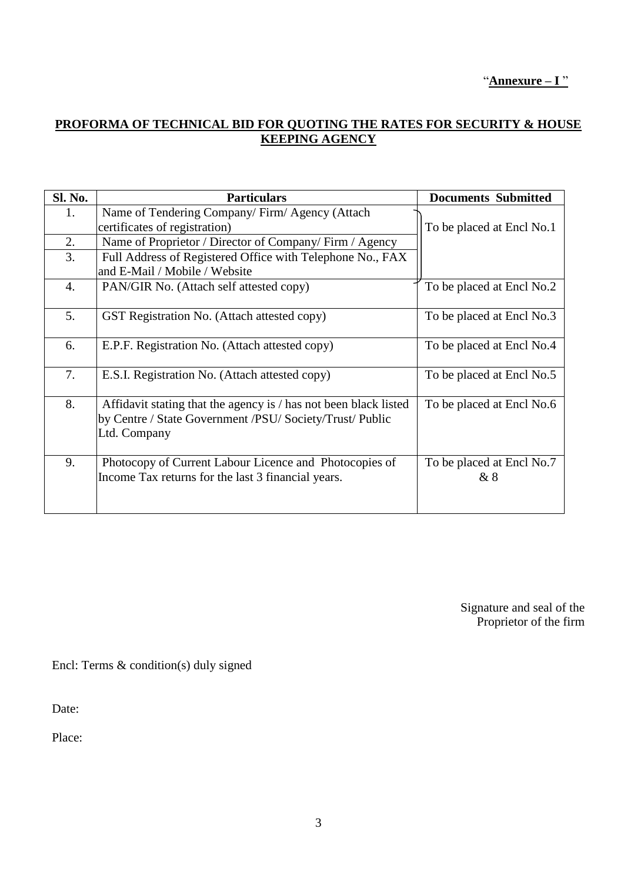"**Annexure – I** "

## **PROFORMA OF TECHNICAL BID FOR QUOTING THE RATES FOR SECURITY & HOUSE KEEPING AGENCY**

| <b>Sl. No.</b>   | <b>Particulars</b>                                                                                                                           | <b>Documents Submitted</b>      |
|------------------|----------------------------------------------------------------------------------------------------------------------------------------------|---------------------------------|
| 1.               | Name of Tendering Company/Firm/Agency (Attach                                                                                                |                                 |
|                  | certificates of registration)                                                                                                                | To be placed at Encl No.1       |
| 2.               | Name of Proprietor / Director of Company/ Firm / Agency                                                                                      |                                 |
| 3.               | Full Address of Registered Office with Telephone No., FAX                                                                                    |                                 |
|                  | and E-Mail / Mobile / Website                                                                                                                |                                 |
| $\overline{4}$ . | PAN/GIR No. (Attach self attested copy)                                                                                                      | To be placed at Encl No.2       |
| 5.               | GST Registration No. (Attach attested copy)                                                                                                  | To be placed at Encl No.3       |
| 6.               | E.P.F. Registration No. (Attach attested copy)                                                                                               | To be placed at Encl No.4       |
| 7.               | E.S.I. Registration No. (Attach attested copy)                                                                                               | To be placed at Encl No.5       |
| 8.               | Affidavit stating that the agency is / has not been black listed<br>by Centre / State Government /PSU/ Society/Trust/ Public<br>Ltd. Company | To be placed at Encl No.6       |
| 9.               | Photocopy of Current Labour Licence and Photocopies of<br>Income Tax returns for the last 3 financial years.                                 | To be placed at Encl No.7<br>&8 |

Signature and seal of the Proprietor of the firm

Encl: Terms & condition(s) duly signed

Date:

Place: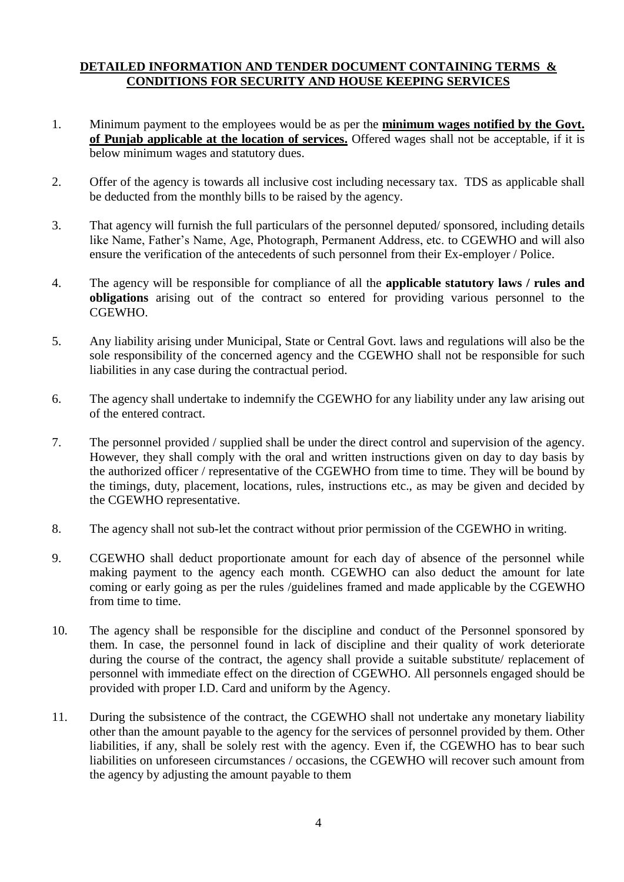### **DETAILED INFORMATION AND TENDER DOCUMENT CONTAINING TERMS & CONDITIONS FOR SECURITY AND HOUSE KEEPING SERVICES**

- 1. Minimum payment to the employees would be as per the **minimum wages notified by the Govt. of Punjab applicable at the location of services.** Offered wages shall not be acceptable, if it is below minimum wages and statutory dues.
- 2. Offer of the agency is towards all inclusive cost including necessary tax. TDS as applicable shall be deducted from the monthly bills to be raised by the agency.
- 3. That agency will furnish the full particulars of the personnel deputed/ sponsored, including details like Name, Father's Name, Age, Photograph, Permanent Address, etc. to CGEWHO and will also ensure the verification of the antecedents of such personnel from their Ex-employer / Police.
- 4. The agency will be responsible for compliance of all the **applicable statutory laws / rules and obligations** arising out of the contract so entered for providing various personnel to the CGEWHO.
- 5. Any liability arising under Municipal, State or Central Govt. laws and regulations will also be the sole responsibility of the concerned agency and the CGEWHO shall not be responsible for such liabilities in any case during the contractual period.
- 6. The agency shall undertake to indemnify the CGEWHO for any liability under any law arising out of the entered contract.
- 7. The personnel provided / supplied shall be under the direct control and supervision of the agency. However, they shall comply with the oral and written instructions given on day to day basis by the authorized officer / representative of the CGEWHO from time to time. They will be bound by the timings, duty, placement, locations, rules, instructions etc., as may be given and decided by the CGEWHO representative.
- 8. The agency shall not sub-let the contract without prior permission of the CGEWHO in writing.
- 9. CGEWHO shall deduct proportionate amount for each day of absence of the personnel while making payment to the agency each month. CGEWHO can also deduct the amount for late coming or early going as per the rules /guidelines framed and made applicable by the CGEWHO from time to time.
- 10. The agency shall be responsible for the discipline and conduct of the Personnel sponsored by them. In case, the personnel found in lack of discipline and their quality of work deteriorate during the course of the contract, the agency shall provide a suitable substitute/ replacement of personnel with immediate effect on the direction of CGEWHO. All personnels engaged should be provided with proper I.D. Card and uniform by the Agency.
- 11. During the subsistence of the contract, the CGEWHO shall not undertake any monetary liability other than the amount payable to the agency for the services of personnel provided by them. Other liabilities, if any, shall be solely rest with the agency. Even if, the CGEWHO has to bear such liabilities on unforeseen circumstances / occasions, the CGEWHO will recover such amount from the agency by adjusting the amount payable to them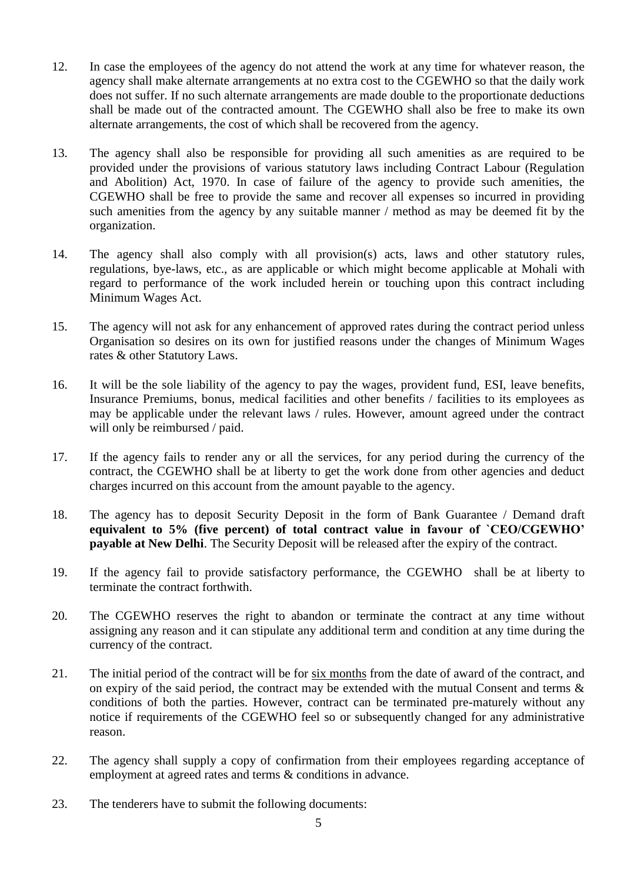- 12. In case the employees of the agency do not attend the work at any time for whatever reason, the agency shall make alternate arrangements at no extra cost to the CGEWHO so that the daily work does not suffer. If no such alternate arrangements are made double to the proportionate deductions shall be made out of the contracted amount. The CGEWHO shall also be free to make its own alternate arrangements, the cost of which shall be recovered from the agency.
- 13. The agency shall also be responsible for providing all such amenities as are required to be provided under the provisions of various statutory laws including Contract Labour (Regulation and Abolition) Act, 1970. In case of failure of the agency to provide such amenities, the CGEWHO shall be free to provide the same and recover all expenses so incurred in providing such amenities from the agency by any suitable manner / method as may be deemed fit by the organization.
- 14. The agency shall also comply with all provision(s) acts, laws and other statutory rules, regulations, bye-laws, etc., as are applicable or which might become applicable at Mohali with regard to performance of the work included herein or touching upon this contract including Minimum Wages Act.
- 15. The agency will not ask for any enhancement of approved rates during the contract period unless Organisation so desires on its own for justified reasons under the changes of Minimum Wages rates & other Statutory Laws.
- 16. It will be the sole liability of the agency to pay the wages, provident fund, ESI, leave benefits, Insurance Premiums, bonus, medical facilities and other benefits / facilities to its employees as may be applicable under the relevant laws / rules. However, amount agreed under the contract will only be reimbursed / paid.
- 17. If the agency fails to render any or all the services, for any period during the currency of the contract, the CGEWHO shall be at liberty to get the work done from other agencies and deduct charges incurred on this account from the amount payable to the agency.
- 18. The agency has to deposit Security Deposit in the form of Bank Guarantee / Demand draft **equivalent to 5% (five percent) of total contract value in favour of `CEO/CGEWHO' payable at New Delhi**. The Security Deposit will be released after the expiry of the contract.
- 19. If the agency fail to provide satisfactory performance, the CGEWHO shall be at liberty to terminate the contract forthwith.
- 20. The CGEWHO reserves the right to abandon or terminate the contract at any time without assigning any reason and it can stipulate any additional term and condition at any time during the currency of the contract.
- 21. The initial period of the contract will be for six months from the date of award of the contract, and on expiry of the said period, the contract may be extended with the mutual Consent and terms  $\&$ conditions of both the parties. However, contract can be terminated pre-maturely without any notice if requirements of the CGEWHO feel so or subsequently changed for any administrative reason.
- 22. The agency shall supply a copy of confirmation from their employees regarding acceptance of employment at agreed rates and terms & conditions in advance.
- 23. The tenderers have to submit the following documents: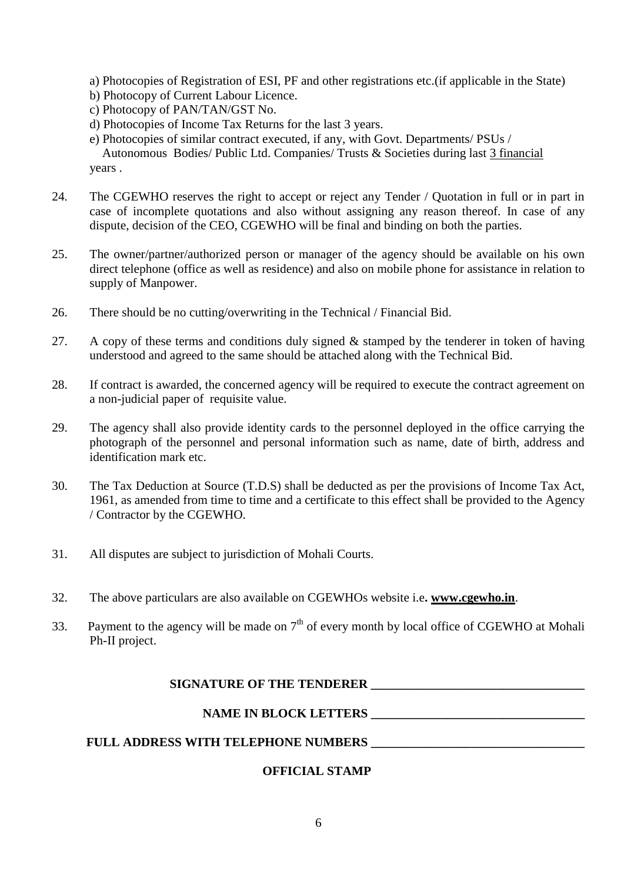- a) Photocopies of Registration of ESI, PF and other registrations etc.(if applicable in the State)
- b) Photocopy of Current Labour Licence.
- c) Photocopy of PAN/TAN/GST No.
- d) Photocopies of Income Tax Returns for the last 3 years.
- e) Photocopies of similar contract executed, if any, with Govt. Departments/ PSUs / Autonomous Bodies/ Public Ltd. Companies/ Trusts & Societies during last 3 financial years .
- 24. The CGEWHO reserves the right to accept or reject any Tender / Quotation in full or in part in case of incomplete quotations and also without assigning any reason thereof. In case of any dispute, decision of the CEO, CGEWHO will be final and binding on both the parties.
- 25. The owner/partner/authorized person or manager of the agency should be available on his own direct telephone (office as well as residence) and also on mobile phone for assistance in relation to supply of Manpower.
- 26. There should be no cutting/overwriting in the Technical / Financial Bid.
- 27. A copy of these terms and conditions duly signed & stamped by the tenderer in token of having understood and agreed to the same should be attached along with the Technical Bid.
- 28. If contract is awarded, the concerned agency will be required to execute the contract agreement on a non-judicial paper of requisite value.
- 29. The agency shall also provide identity cards to the personnel deployed in the office carrying the photograph of the personnel and personal information such as name, date of birth, address and identification mark etc.
- 30. The Tax Deduction at Source (T.D.S) shall be deducted as per the provisions of Income Tax Act, 1961, as amended from time to time and a certificate to this effect shall be provided to the Agency / Contractor by the CGEWHO.
- 31. All disputes are subject to jurisdiction of Mohali Courts.
- 32. The above particulars are also available on CGEWHOs website i.e**. [www.c](http://www./)gewho.in**.
- 33. Payment to the agency will be made on  $7<sup>th</sup>$  of every month by local office of CGEWHO at Mohali Ph-II project.

#### SIGNATURE OF THE TENDERER **LEASE CONSUMPLY**

#### **NAME IN BLOCK LETTERS \_\_\_\_\_\_\_\_\_\_\_\_\_\_\_\_\_\_\_\_\_\_\_\_\_\_\_\_\_\_\_\_\_\_**

### FULL ADDRESS WITH TELEPHONE NUMBERS

### **OFFICIAL STAMP**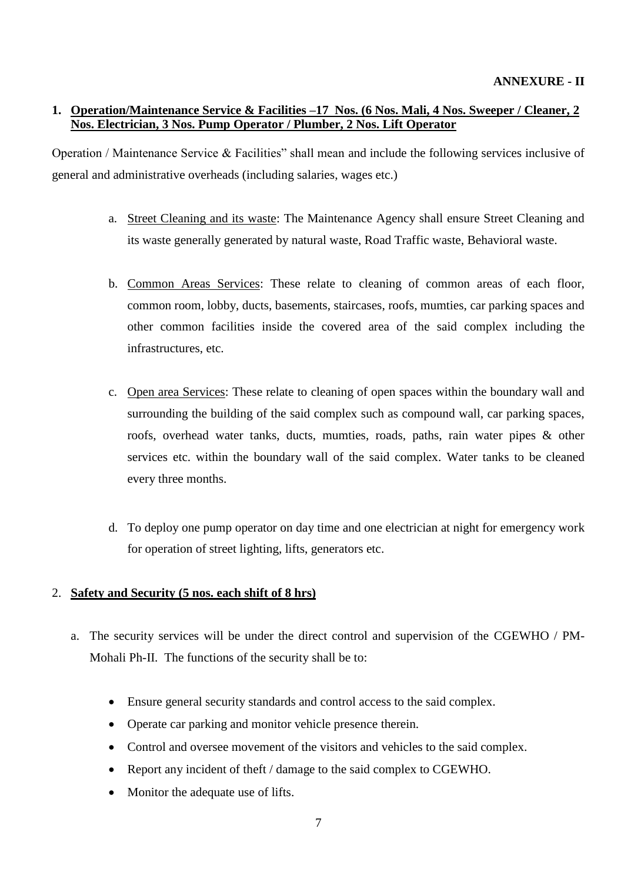### **1. Operation/Maintenance Service & Facilities –17 Nos. (6 Nos. Mali, 4 Nos. Sweeper / Cleaner, 2 Nos. Electrician, 3 Nos. Pump Operator / Plumber, 2 Nos. Lift Operator**

Operation / Maintenance Service & Facilities" shall mean and include the following services inclusive of general and administrative overheads (including salaries, wages etc.)

- a. Street Cleaning and its waste: The Maintenance Agency shall ensure Street Cleaning and its waste generally generated by natural waste, Road Traffic waste, Behavioral waste.
- b. Common Areas Services: These relate to cleaning of common areas of each floor, common room, lobby, ducts, basements, staircases, roofs, mumties, car parking spaces and other common facilities inside the covered area of the said complex including the infrastructures, etc.
- c. Open area Services: These relate to cleaning of open spaces within the boundary wall and surrounding the building of the said complex such as compound wall, car parking spaces, roofs, overhead water tanks, ducts, mumties, roads, paths, rain water pipes & other services etc. within the boundary wall of the said complex. Water tanks to be cleaned every three months.
- d. To deploy one pump operator on day time and one electrician at night for emergency work for operation of street lighting, lifts, generators etc.

### 2. **Safety and Security (5 nos. each shift of 8 hrs)**

- a. The security services will be under the direct control and supervision of the CGEWHO / PM-Mohali Ph-II. The functions of the security shall be to:
	- Ensure general security standards and control access to the said complex.
	- Operate car parking and monitor vehicle presence therein.
	- Control and oversee movement of the visitors and vehicles to the said complex.
	- Report any incident of theft / damage to the said complex to CGEWHO.
	- Monitor the adequate use of lifts.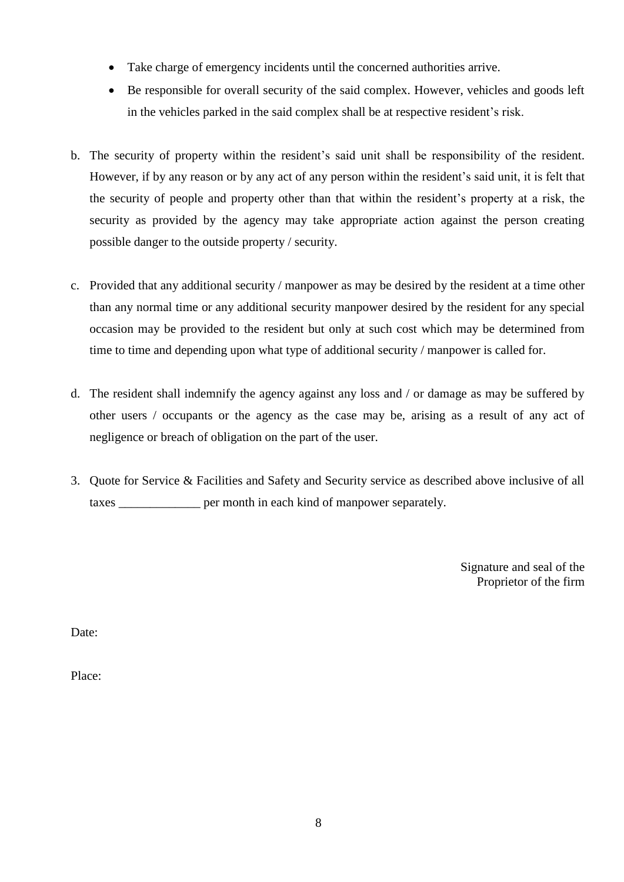- Take charge of emergency incidents until the concerned authorities arrive.
- Be responsible for overall security of the said complex. However, vehicles and goods left in the vehicles parked in the said complex shall be at respective resident's risk.
- b. The security of property within the resident's said unit shall be responsibility of the resident. However, if by any reason or by any act of any person within the resident's said unit, it is felt that the security of people and property other than that within the resident's property at a risk, the security as provided by the agency may take appropriate action against the person creating possible danger to the outside property / security.
- c. Provided that any additional security / manpower as may be desired by the resident at a time other than any normal time or any additional security manpower desired by the resident for any special occasion may be provided to the resident but only at such cost which may be determined from time to time and depending upon what type of additional security / manpower is called for.
- d. The resident shall indemnify the agency against any loss and / or damage as may be suffered by other users / occupants or the agency as the case may be, arising as a result of any act of negligence or breach of obligation on the part of the user.
- 3. Quote for Service & Facilities and Safety and Security service as described above inclusive of all taxes \_\_\_\_\_\_\_\_\_\_\_\_\_ per month in each kind of manpower separately.

Signature and seal of the Proprietor of the firm

Date:

Place: